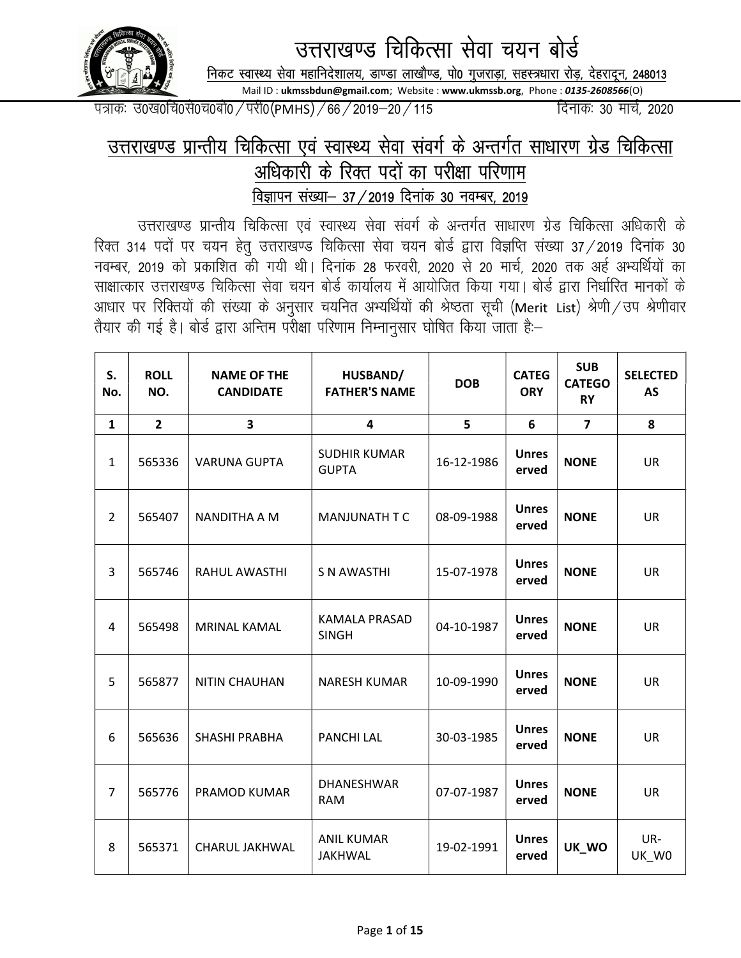

उत्तराखण्ड चिकित्सा सेवा चयन बोर्ड

निकट स्वास्थ्य सेवा महानिदेशालय, डाण्डा लाखौण्ड, पो0 गुजराड़ा, सहस्त्रधारा रोड़, देहरादून, 248013

Mail ID : ukmssbdun@gmail.com; Website : www.ukmssb.org, Phone : 0135-2608566(O)

i=kad% m0[k0fp0ls0p0cks0@ijh0¼PMHS½@66@2019&20@115 fnukad% 30 ekpZ] 2020

## उत्तराखण्ड प्रान्तीय चिकित्सा एवं स्वास्थ्य सेवा संवर्ग के अन्तर्गत साधारण ग्रेड चिकित्सा अधिकारी के रिक्त पदों का परीक्षा परिणाम <u>विज्ञापन संख्या– 37 / 2019 दिनांक 30 नवम्बर, 2019</u>

उत्तराखण्ड प्रान्तीय चिकित्सा एवं स्वास्थ्य सेवा संवर्ग के अन्तर्गत साधारण ग्रेड चिकित्सा अधिकारी के रिक्त 314 पदों पर चयन हेतू उत्तराखण्ड चिकित्सा सेवा चयन बोर्ड द्वारा विज्ञप्ति संख्या 37 / 2019 दिनांक 30 नवम्बर, 2019 को प्रकाशित की गयी थी। दिनांक 28 फरवरी, 2020 से 20 मार्च, 2020 तक अर्ह अभ्यर्थियों का साक्षात्कार उत्तराखण्ड चिकित्सा सेवा चयन बोर्ड कार्यालय में आयोजित किया गया। बोर्ड द्वारा निर्धारित मानकों के आधार पर रिक्तियों की संख्या के अनुसार चयनित अभ्यर्थियों की श्रेष्ठता सूची (Merit List) श्रेणी/उप श्रेणीवार .<br>तैयार की गई है। बोर्ड द्वारा अन्तिम परीक्षा परिणाम निम्नानुसार घोषित किया जाता है:-

| S.<br>No.      | <b>ROLL</b><br>NO. | <b>NAME OF THE</b><br><b>CANDIDATE</b> | HUSBAND/<br><b>FATHER'S NAME</b>     | <b>DOB</b> | <b>CATEG</b><br><b>ORY</b> | <b>SUB</b><br><b>CATEGO</b><br><b>RY</b> | <b>SELECTED</b><br><b>AS</b> |
|----------------|--------------------|----------------------------------------|--------------------------------------|------------|----------------------------|------------------------------------------|------------------------------|
| $\mathbf{1}$   | $\overline{2}$     | $\overline{\mathbf{3}}$                | 4                                    | 5          | 6                          | $\overline{7}$                           | 8                            |
| 1              | 565336             | <b>VARUNA GUPTA</b>                    | <b>SUDHIR KUMAR</b><br><b>GUPTA</b>  | 16-12-1986 | <b>Unres</b><br>erved      | <b>NONE</b>                              | <b>UR</b>                    |
| $\overline{2}$ | 565407             | NANDITHA A M                           | MANJUNATH T C                        | 08-09-1988 | <b>Unres</b><br>erved      | <b>NONE</b>                              | <b>UR</b>                    |
| 3              | 565746             | <b>RAHUL AWASTHI</b>                   | <b>S N AWASTHI</b>                   | 15-07-1978 | <b>Unres</b><br>erved      | <b>NONE</b>                              | <b>UR</b>                    |
| 4              | 565498             | MRINAL KAMAL                           | <b>KAMALA PRASAD</b><br><b>SINGH</b> | 04-10-1987 | <b>Unres</b><br>erved      | <b>NONE</b>                              | UR                           |
| 5              | 565877             | NITIN CHAUHAN                          | <b>NARESH KUMAR</b>                  | 10-09-1990 | <b>Unres</b><br>erved      | <b>NONE</b>                              | <b>UR</b>                    |
| 6              | 565636             | SHASHI PRABHA                          | <b>PANCHI LAL</b>                    | 30-03-1985 | <b>Unres</b><br>erved      | <b>NONE</b>                              | <b>UR</b>                    |
| $\overline{7}$ | 565776             | PRAMOD KUMAR                           | DHANESHWAR<br><b>RAM</b>             | 07-07-1987 | <b>Unres</b><br>erved      | <b>NONE</b>                              | <b>UR</b>                    |
| 8              | 565371             | CHARUL JAKHWAL                         | <b>ANIL KUMAR</b><br><b>JAKHWAL</b>  | 19-02-1991 | <b>Unres</b><br>erved      | UK_WO                                    | UR-<br>UK_W0                 |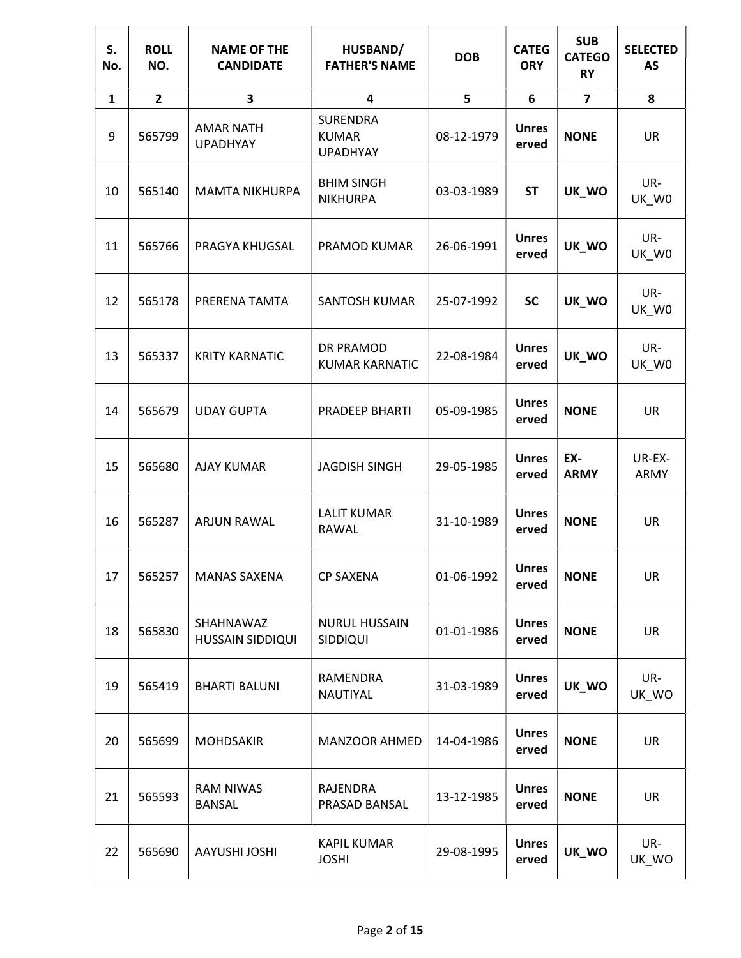| S.<br>No.    | <b>ROLL</b><br>NO.      | <b>NAME OF THE</b><br><b>CANDIDATE</b> | HUSBAND/<br><b>FATHER'S NAME</b>                   | <b>DOB</b> | <b>CATEG</b><br><b>ORY</b> | <b>SUB</b><br><b>CATEGO</b><br><b>RY</b> | <b>SELECTED</b><br><b>AS</b> |
|--------------|-------------------------|----------------------------------------|----------------------------------------------------|------------|----------------------------|------------------------------------------|------------------------------|
| $\mathbf{1}$ | $\overline{\mathbf{2}}$ | 3                                      | 4                                                  | 5          | 6                          | $\overline{\mathbf{z}}$                  | 8                            |
| 9            | 565799                  | <b>AMAR NATH</b><br><b>UPADHYAY</b>    | <b>SURENDRA</b><br><b>KUMAR</b><br><b>UPADHYAY</b> | 08-12-1979 | <b>Unres</b><br>erved      | <b>NONE</b>                              | <b>UR</b>                    |
| 10           | 565140                  | <b>MAMTA NIKHURPA</b>                  | <b>BHIM SINGH</b><br><b>NIKHURPA</b>               | 03-03-1989 | <b>ST</b>                  | UK_WO                                    | UR-<br>UK_W0                 |
| 11           | 565766                  | PRAGYA KHUGSAL                         | PRAMOD KUMAR                                       | 26-06-1991 | <b>Unres</b><br>erved      | UK_WO                                    | UR-<br>UK_W0                 |
| 12           | 565178                  | PRERENA TAMTA                          | <b>SANTOSH KUMAR</b>                               | 25-07-1992 | <b>SC</b>                  | UK_WO                                    | UR-<br>UK_W0                 |
| 13           | 565337                  | <b>KRITY KARNATIC</b>                  | DR PRAMOD<br><b>KUMAR KARNATIC</b>                 | 22-08-1984 | <b>Unres</b><br>erved      | UK_WO                                    | UR-<br>UK_W0                 |
| 14           | 565679                  | <b>UDAY GUPTA</b>                      | PRADEEP BHARTI                                     | 05-09-1985 | <b>Unres</b><br>erved      | <b>NONE</b>                              | UR                           |
| 15           | 565680                  | <b>AJAY KUMAR</b>                      | <b>JAGDISH SINGH</b>                               | 29-05-1985 | <b>Unres</b><br>erved      | EX-<br><b>ARMY</b>                       | UR-EX-<br>ARMY               |
| 16           | 565287                  | <b>ARJUN RAWAL</b>                     | <b>LALIT KUMAR</b><br>RAWAL                        | 31-10-1989 | <b>Unres</b><br>erved      | <b>NONE</b>                              | UR                           |
| 17           | 565257                  | <b>MANAS SAXENA</b>                    | <b>CP SAXENA</b>                                   | 01-06-1992 | <b>Unres</b><br>erved      | <b>NONE</b>                              | <b>UR</b>                    |
| 18           | 565830                  | SHAHNAWAZ<br>HUSSAIN SIDDIQUI          | NURUL HUSSAIN<br>SIDDIQUI                          | 01-01-1986 | <b>Unres</b><br>erved      | <b>NONE</b>                              | <b>UR</b>                    |
| 19           | 565419                  | <b>BHARTI BALUNI</b>                   | RAMENDRA<br>NAUTIYAL                               | 31-03-1989 | <b>Unres</b><br>erved      | UK_WO                                    | UR-<br>UK_WO                 |
| 20           | 565699                  | MOHDSAKIR                              | <b>MANZOOR AHMED</b>                               | 14-04-1986 | <b>Unres</b><br>erved      | <b>NONE</b>                              | <b>UR</b>                    |
| 21           | 565593                  | <b>RAM NIWAS</b><br><b>BANSAL</b>      | RAJENDRA<br>PRASAD BANSAL                          | 13-12-1985 | <b>Unres</b><br>erved      | <b>NONE</b>                              | UR                           |
| 22           | 565690                  | <b>AAYUSHI JOSHI</b>                   | <b>KAPIL KUMAR</b><br><b>JOSHI</b>                 | 29-08-1995 | <b>Unres</b><br>erved      | UK_WO                                    | UR-<br>UK_WO                 |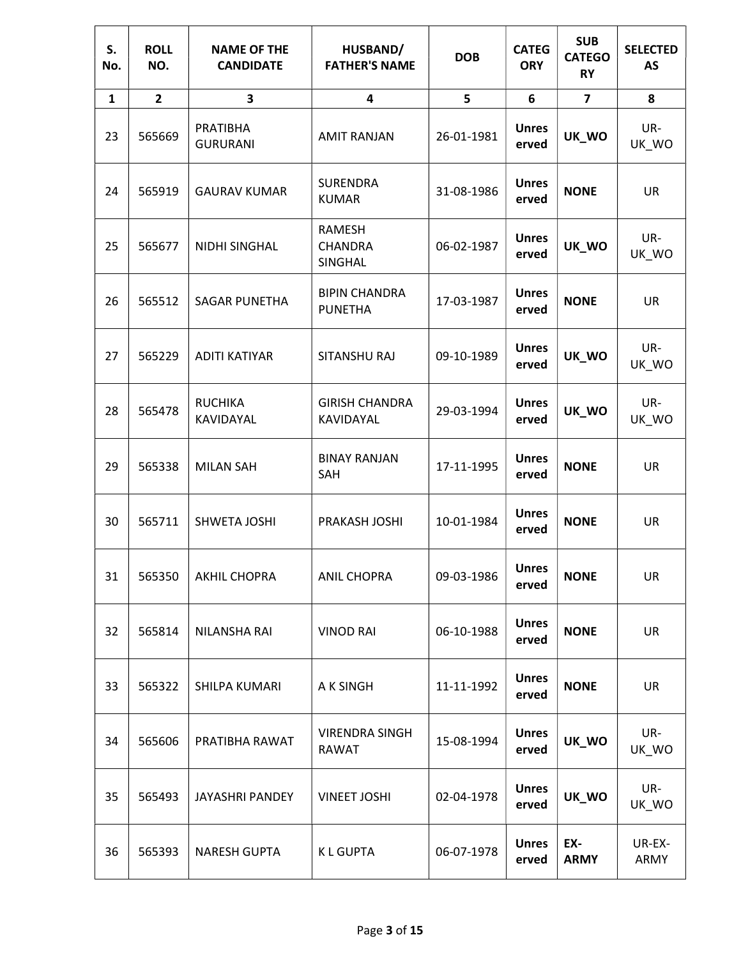| S.<br>No.    | <b>ROLL</b><br>NO. | <b>NAME OF THE</b><br><b>CANDIDATE</b> | HUSBAND/<br><b>FATHER'S NAME</b>       | <b>DOB</b> | <b>CATEG</b><br><b>ORY</b> | <b>SUB</b><br><b>CATEGO</b><br><b>RY</b> | <b>SELECTED</b><br><b>AS</b> |
|--------------|--------------------|----------------------------------------|----------------------------------------|------------|----------------------------|------------------------------------------|------------------------------|
| $\mathbf{1}$ | $\overline{2}$     | $\overline{\mathbf{3}}$                | 4                                      | 5          | 6                          | $\overline{7}$                           | 8                            |
| 23           | 565669             | PRATIBHA<br><b>GURURANI</b>            | <b>AMIT RANJAN</b>                     | 26-01-1981 | <b>Unres</b><br>erved      | UK_WO                                    | UR-<br>UK_WO                 |
| 24           | 565919             | <b>GAURAV KUMAR</b>                    | <b>SURENDRA</b><br><b>KUMAR</b>        | 31-08-1986 | <b>Unres</b><br>erved      | <b>NONE</b>                              | UR                           |
| 25           | 565677             | NIDHI SINGHAL                          | RAMESH<br><b>CHANDRA</b><br>SINGHAL    | 06-02-1987 | <b>Unres</b><br>erved      | UK_WO                                    | UR-<br>UK_WO                 |
| 26           | 565512             | <b>SAGAR PUNETHA</b>                   | <b>BIPIN CHANDRA</b><br><b>PUNETHA</b> | 17-03-1987 | <b>Unres</b><br>erved      | <b>NONE</b>                              | <b>UR</b>                    |
| 27           | 565229             | <b>ADITI KATIYAR</b>                   | SITANSHU RAJ                           | 09-10-1989 | <b>Unres</b><br>erved      | UK_WO                                    | UR-<br>UK_WO                 |
| 28           | 565478             | <b>RUCHIKA</b><br>KAVIDAYAL            | <b>GIRISH CHANDRA</b><br>KAVIDAYAL     | 29-03-1994 | <b>Unres</b><br>erved      | UK_WO                                    | UR-<br>UK_WO                 |
| 29           | 565338             | <b>MILAN SAH</b>                       | <b>BINAY RANJAN</b><br>SAH             | 17-11-1995 | <b>Unres</b><br>erved      | <b>NONE</b>                              | UR                           |
| 30           | 565711             | SHWETA JOSHI                           | PRAKASH JOSHI                          | 10-01-1984 | <b>Unres</b><br>erved      | <b>NONE</b>                              | UR                           |
| 31           | 565350             | <b>AKHIL CHOPRA</b>                    | <b>ANIL CHOPRA</b>                     | 09-03-1986 | <b>Unres</b><br>erved      | <b>NONE</b>                              | UR                           |
| 32           | 565814             | NILANSHA RAI                           | <b>VINOD RAI</b>                       | 06-10-1988 | <b>Unres</b><br>erved      | <b>NONE</b>                              | <b>UR</b>                    |
| 33           | 565322             | SHILPA KUMARI                          | A K SINGH                              | 11-11-1992 | <b>Unres</b><br>erved      | <b>NONE</b>                              | <b>UR</b>                    |
| 34           | 565606             | PRATIBHA RAWAT                         | <b>VIRENDRA SINGH</b><br><b>RAWAT</b>  | 15-08-1994 | <b>Unres</b><br>erved      | UK_WO                                    | UR-<br>UK_WO                 |
| 35           | 565493             | JAYASHRI PANDEY                        | <b>VINEET JOSHI</b>                    | 02-04-1978 | <b>Unres</b><br>erved      | UK_WO                                    | UR-<br>UK_WO                 |
| 36           | 565393             | <b>NARESH GUPTA</b>                    | <b>KLGUPTA</b>                         | 06-07-1978 | <b>Unres</b><br>erved      | EX-<br><b>ARMY</b>                       | UR-EX-<br>ARMY               |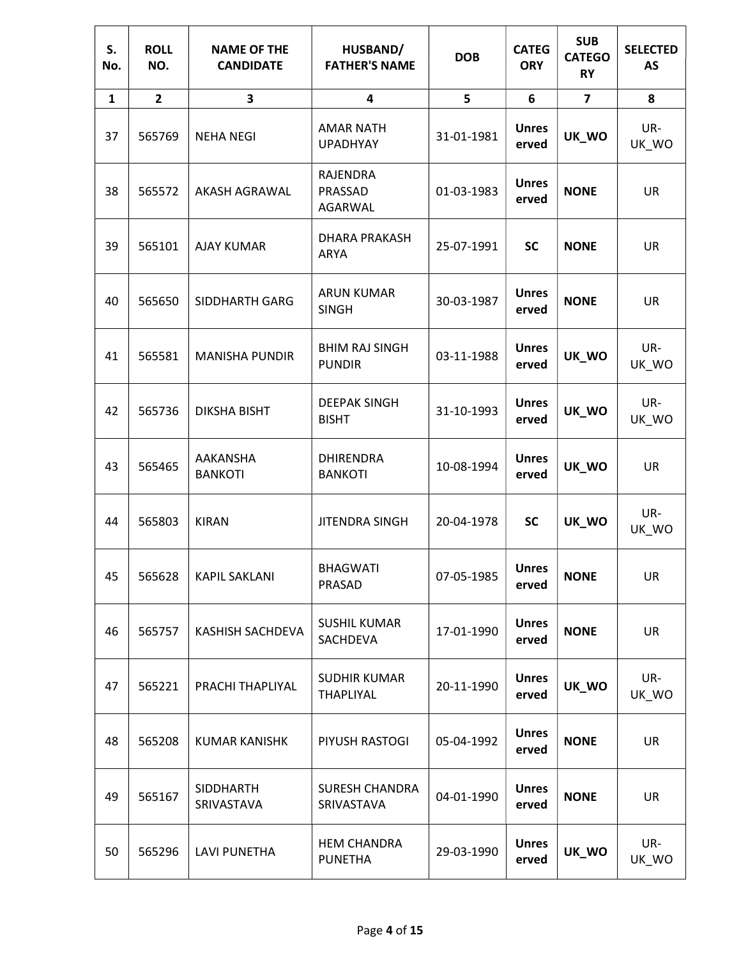| S.<br>No.    | <b>ROLL</b><br>NO. | <b>NAME OF THE</b><br><b>CANDIDATE</b> | HUSBAND/<br><b>FATHER'S NAME</b>        | <b>DOB</b> | <b>CATEG</b><br><b>ORY</b> | <b>SUB</b><br><b>CATEGO</b><br><b>RY</b> | <b>SELECTED</b><br><b>AS</b> |
|--------------|--------------------|----------------------------------------|-----------------------------------------|------------|----------------------------|------------------------------------------|------------------------------|
| $\mathbf{1}$ | $\overline{2}$     | 3                                      | 4                                       | 5          | 6                          | $\overline{7}$                           | 8                            |
| 37           | 565769             | <b>NEHA NEGI</b>                       | <b>AMAR NATH</b><br><b>UPADHYAY</b>     | 31-01-1981 | <b>Unres</b><br>erved      | UK_WO                                    | UR-<br>UK_WO                 |
| 38           | 565572             | AKASH AGRAWAL                          | <b>RAJENDRA</b><br>PRASSAD<br>AGARWAL   | 01-03-1983 | <b>Unres</b><br>erved      | <b>NONE</b>                              | <b>UR</b>                    |
| 39           | 565101             | <b>AJAY KUMAR</b>                      | DHARA PRAKASH<br>ARYA                   | 25-07-1991 | <b>SC</b>                  | <b>NONE</b>                              | <b>UR</b>                    |
| 40           | 565650             | SIDDHARTH GARG                         | <b>ARUN KUMAR</b><br><b>SINGH</b>       | 30-03-1987 | <b>Unres</b><br>erved      | <b>NONE</b>                              | UR                           |
| 41           | 565581             | <b>MANISHA PUNDIR</b>                  | <b>BHIM RAJ SINGH</b><br><b>PUNDIR</b>  | 03-11-1988 | <b>Unres</b><br>erved      | UK_WO                                    | UR-<br>UK_WO                 |
| 42           | 565736             | <b>DIKSHA BISHT</b>                    | <b>DEEPAK SINGH</b><br><b>BISHT</b>     | 31-10-1993 | <b>Unres</b><br>erved      | UK_WO                                    | UR-<br>UK_WO                 |
| 43           | 565465             | AAKANSHA<br><b>BANKOTI</b>             | <b>DHIRENDRA</b><br><b>BANKOTI</b>      | 10-08-1994 | <b>Unres</b><br>erved      | UK_WO                                    | UR                           |
| 44           | 565803             | <b>KIRAN</b>                           | <b>JITENDRA SINGH</b>                   | 20-04-1978 | <b>SC</b>                  | UK_WO                                    | UR-<br>UK_WO                 |
| 45           | 565628             | <b>KAPIL SAKLANI</b>                   | <b>BHAGWATI</b><br><b>PRASAD</b>        | 07-05-1985 | <b>Unres</b><br>erved      | <b>NONE</b>                              | <b>UR</b>                    |
| 46           | 565757             | KASHISH SACHDEVA                       | <b>SUSHIL KUMAR</b><br>SACHDEVA         | 17-01-1990 | <b>Unres</b><br>erved      | <b>NONE</b>                              | <b>UR</b>                    |
| 47           | 565221             | PRACHI THAPLIYAL                       | <b>SUDHIR KUMAR</b><br><b>THAPLIYAL</b> | 20-11-1990 | <b>Unres</b><br>erved      | UK_WO                                    | UR-<br>UK_WO                 |
| 48           | 565208             | <b>KUMAR KANISHK</b>                   | PIYUSH RASTOGI                          | 05-04-1992 | <b>Unres</b><br>erved      | <b>NONE</b>                              | <b>UR</b>                    |
| 49           | 565167             | <b>SIDDHARTH</b><br>SRIVASTAVA         | <b>SURESH CHANDRA</b><br>SRIVASTAVA     | 04-01-1990 | <b>Unres</b><br>erved      | <b>NONE</b>                              | UR                           |
| 50           | 565296             | <b>LAVI PUNETHA</b>                    | <b>HEM CHANDRA</b><br><b>PUNETHA</b>    | 29-03-1990 | <b>Unres</b><br>erved      | UK_WO                                    | UR-<br>UK_WO                 |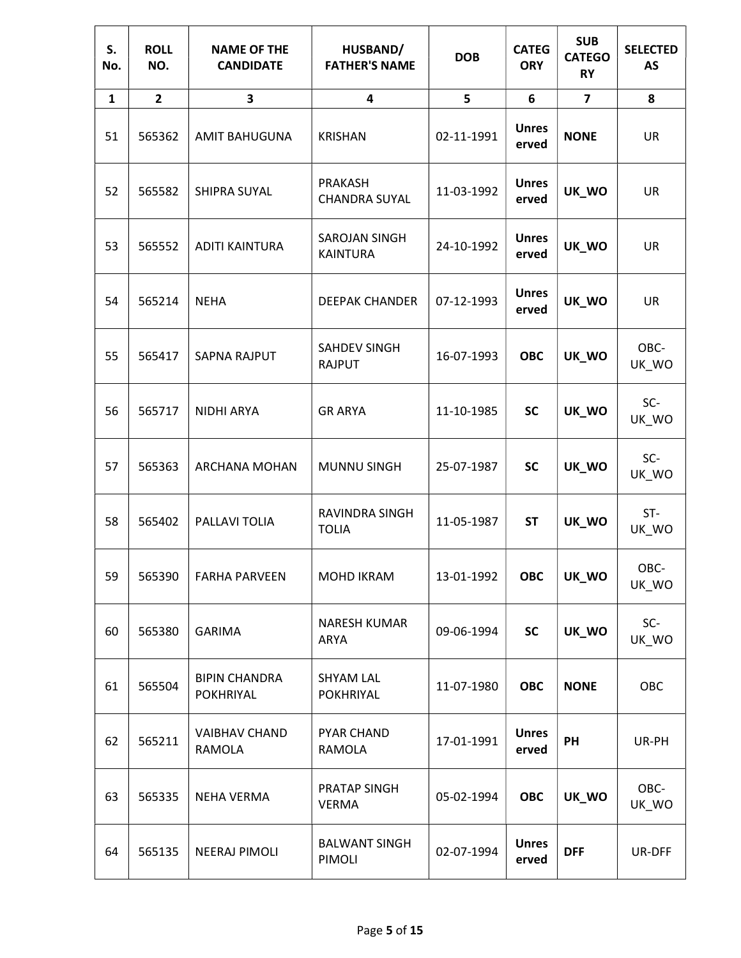| S.<br>No.    | <b>ROLL</b><br>NO. | <b>NAME OF THE</b><br><b>CANDIDATE</b> | HUSBAND/<br><b>FATHER'S NAME</b>        | <b>DOB</b> | <b>CATEG</b><br><b>ORY</b> | <b>SUB</b><br><b>CATEGO</b><br><b>RY</b> | <b>SELECTED</b><br><b>AS</b> |
|--------------|--------------------|----------------------------------------|-----------------------------------------|------------|----------------------------|------------------------------------------|------------------------------|
| $\mathbf{1}$ | $\overline{2}$     | 3                                      | $\overline{\mathbf{4}}$                 | 5          | 6                          | $\overline{7}$                           | 8                            |
| 51           | 565362             | <b>AMIT BAHUGUNA</b>                   | <b>KRISHAN</b>                          | 02-11-1991 | <b>Unres</b><br>erved      | <b>NONE</b>                              | UR                           |
| 52           | 565582             | SHIPRA SUYAL                           | PRAKASH<br><b>CHANDRA SUYAL</b>         | 11-03-1992 | <b>Unres</b><br>erved      | UK_WO                                    | UR                           |
| 53           | 565552             | <b>ADITI KAINTURA</b>                  | <b>SAROJAN SINGH</b><br><b>KAINTURA</b> | 24-10-1992 | <b>Unres</b><br>erved      | UK_WO                                    | UR                           |
| 54           | 565214             | <b>NEHA</b>                            | <b>DEEPAK CHANDER</b>                   | 07-12-1993 | <b>Unres</b><br>erved      | UK_WO                                    | UR                           |
| 55           | 565417             | <b>SAPNA RAJPUT</b>                    | SAHDEV SINGH<br><b>RAJPUT</b>           | 16-07-1993 | <b>OBC</b>                 | UK_WO                                    | OBC-<br>UK_WO                |
| 56           | 565717             | <b>NIDHI ARYA</b>                      | <b>GR ARYA</b>                          | 11-10-1985 | <b>SC</b>                  | UK_WO                                    | SC-<br>UK_WO                 |
| 57           | 565363             | ARCHANA MOHAN                          | <b>MUNNU SINGH</b>                      | 25-07-1987 | <b>SC</b>                  | UK_WO                                    | SC-<br>UK_WO                 |
| 58           | 565402             | PALLAVI TOLIA                          | RAVINDRA SINGH<br><b>TOLIA</b>          | 11-05-1987 | <b>ST</b>                  | UK_WO                                    | ST-<br>UK_WO                 |
| 59           | 565390             | <b>FARHA PARVEEN</b>                   | MOHD IKRAM                              | 13-01-1992 | <b>OBC</b>                 | UK_WO                                    | OBC-<br>UK_WO                |
| 60           | 565380             | <b>GARIMA</b>                          | NARESH KUMAR<br><b>ARYA</b>             | 09-06-1994 | <b>SC</b>                  | UK_WO                                    | SC-<br>UK_WO                 |
| 61           | 565504             | <b>BIPIN CHANDRA</b><br>POKHRIYAL      | <b>SHYAM LAL</b><br><b>POKHRIYAL</b>    | 11-07-1980 | <b>OBC</b>                 | <b>NONE</b>                              | OBC                          |
| 62           | 565211             | <b>VAIBHAV CHAND</b><br>RAMOLA         | <b>PYAR CHAND</b><br>RAMOLA             | 17-01-1991 | <b>Unres</b><br>erved      | PH                                       | UR-PH                        |
| 63           | 565335             | NEHA VERMA                             | PRATAP SINGH<br><b>VERMA</b>            | 05-02-1994 | <b>OBC</b>                 | UK_WO                                    | OBC-<br>UK_WO                |
| 64           | 565135             | NEERAJ PIMOLI                          | <b>BALWANT SINGH</b><br>PIMOLI          | 02-07-1994 | <b>Unres</b><br>erved      | <b>DFF</b>                               | UR-DFF                       |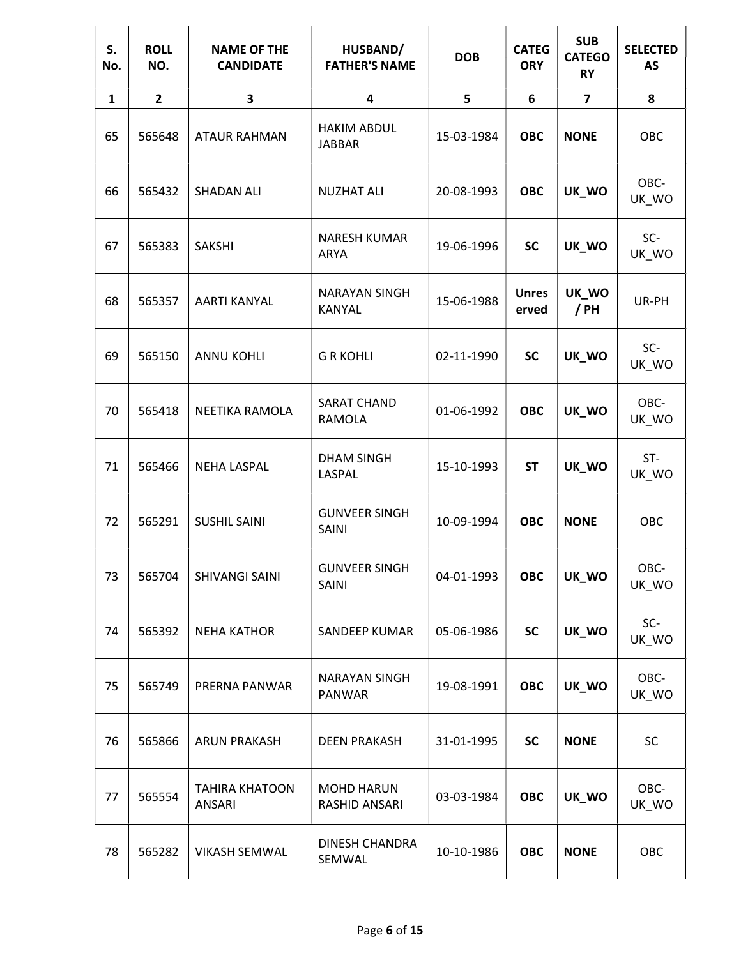| S.<br>No.    | <b>ROLL</b><br>NO. | <b>NAME OF THE</b><br><b>CANDIDATE</b> | HUSBAND/<br><b>FATHER'S NAME</b>     | <b>DOB</b> | <b>CATEG</b><br><b>ORY</b> | <b>SUB</b><br><b>CATEGO</b><br><b>RY</b> | <b>SELECTED</b><br><b>AS</b> |
|--------------|--------------------|----------------------------------------|--------------------------------------|------------|----------------------------|------------------------------------------|------------------------------|
| $\mathbf{1}$ | $\overline{2}$     | 3                                      | 4                                    | 5          | 6                          | $\overline{7}$                           | 8                            |
| 65           | 565648             | <b>ATAUR RAHMAN</b>                    | <b>HAKIM ABDUL</b><br><b>JABBAR</b>  | 15-03-1984 | <b>OBC</b>                 | <b>NONE</b>                              | OBC                          |
| 66           | 565432             | <b>SHADAN ALI</b>                      | <b>NUZHAT ALI</b>                    | 20-08-1993 | <b>OBC</b>                 | UK_WO                                    | OBC-<br>UK_WO                |
| 67           | 565383             | <b>SAKSHI</b>                          | <b>NARESH KUMAR</b><br>ARYA          | 19-06-1996 | <b>SC</b>                  | UK_WO                                    | SC-<br>UK_WO                 |
| 68           | 565357             | <b>AARTI KANYAL</b>                    | <b>NARAYAN SINGH</b><br>KANYAL       | 15-06-1988 | <b>Unres</b><br>erved      | UK_WO<br>/ PH                            | UR-PH                        |
| 69           | 565150             | <b>ANNU KOHLI</b>                      | <b>G R KOHLI</b>                     | 02-11-1990 | <b>SC</b>                  | UK_WO                                    | SC-<br>UK_WO                 |
| 70           | 565418             | NEETIKA RAMOLA                         | <b>SARAT CHAND</b><br>RAMOLA         | 01-06-1992 | <b>OBC</b>                 | UK_WO                                    | OBC-<br>UK_WO                |
| 71           | 565466             | <b>NEHA LASPAL</b>                     | <b>DHAM SINGH</b><br>LASPAL          | 15-10-1993 | <b>ST</b>                  | UK_WO                                    | ST-<br>UK_WO                 |
| 72           | 565291             | <b>SUSHIL SAINI</b>                    | <b>GUNVEER SINGH</b><br><b>SAINI</b> | 10-09-1994 | <b>OBC</b>                 | <b>NONE</b>                              | OBC                          |
| 73           | 565704             | SHIVANGI SAINI                         | <b>GUNVEER SINGH</b><br><b>SAINI</b> | 04-01-1993 | <b>OBC</b>                 | UK_WO                                    | OBC-<br>UK_WO                |
| 74           | 565392             | <b>NEHA KATHOR</b>                     | <b>SANDEEP KUMAR</b>                 | 05-06-1986 | <b>SC</b>                  | UK_WO                                    | SC-<br>UK_WO                 |
| 75           | 565749             | PRERNA PANWAR                          | <b>NARAYAN SINGH</b><br>PANWAR       | 19-08-1991 | <b>OBC</b>                 | UK_WO                                    | OBC-<br>UK_WO                |
| 76           | 565866             | <b>ARUN PRAKASH</b>                    | <b>DEEN PRAKASH</b>                  | 31-01-1995 | <b>SC</b>                  | <b>NONE</b>                              | SC                           |
| 77           | 565554             | <b>TAHIRA KHATOON</b><br>ANSARI        | <b>MOHD HARUN</b><br>RASHID ANSARI   | 03-03-1984 | <b>OBC</b>                 | UK_WO                                    | OBC-<br>UK_WO                |
| 78           | 565282             | <b>VIKASH SEMWAL</b>                   | DINESH CHANDRA<br>SEMWAL             | 10-10-1986 | <b>OBC</b>                 | <b>NONE</b>                              | OBC                          |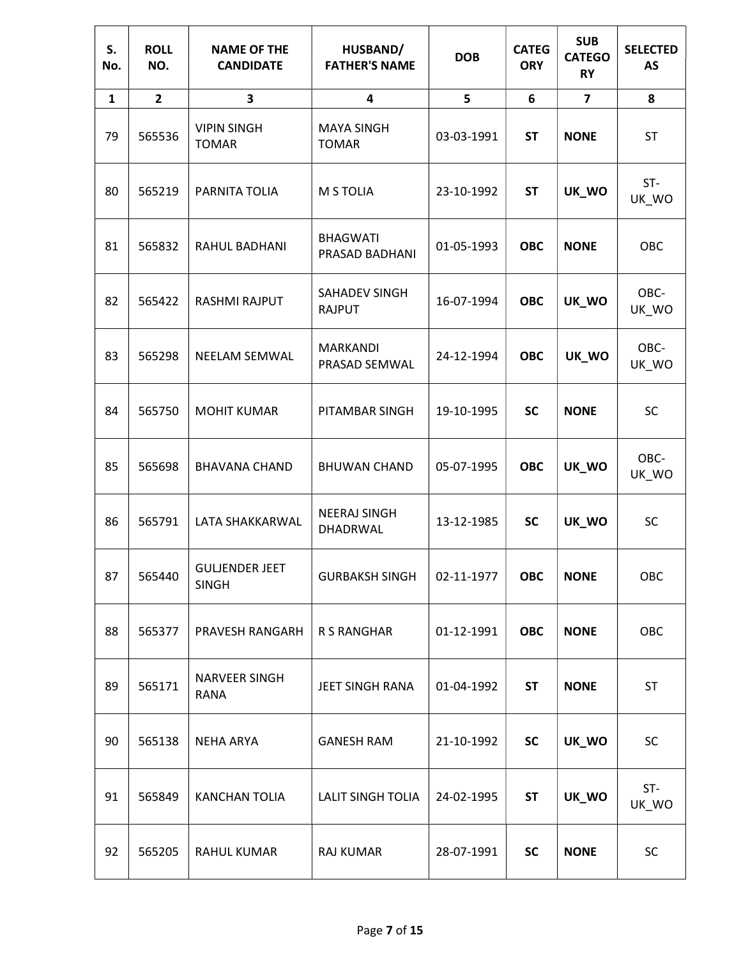| S.<br>No.    | <b>ROLL</b><br>NO. | <b>NAME OF THE</b><br><b>CANDIDATE</b> | HUSBAND/<br><b>FATHER'S NAME</b>  | <b>DOB</b> | <b>CATEG</b><br><b>ORY</b> | <b>SUB</b><br><b>CATEGO</b><br><b>RY</b> | <b>SELECTED</b><br><b>AS</b> |
|--------------|--------------------|----------------------------------------|-----------------------------------|------------|----------------------------|------------------------------------------|------------------------------|
| $\mathbf{1}$ | $\mathbf{2}$       | 3                                      | $\overline{\mathbf{4}}$           | 5          | 6                          | $\overline{\mathbf{z}}$                  | 8                            |
| 79           | 565536             | <b>VIPIN SINGH</b><br><b>TOMAR</b>     | <b>MAYA SINGH</b><br><b>TOMAR</b> | 03-03-1991 | <b>ST</b>                  | <b>NONE</b>                              | <b>ST</b>                    |
| 80           | 565219             | PARNITA TOLIA                          | M S TOLIA                         | 23-10-1992 | <b>ST</b>                  | UK_WO                                    | ST-<br>UK_WO                 |
| 81           | 565832             | RAHUL BADHANI                          | <b>BHAGWATI</b><br>PRASAD BADHANI | 01-05-1993 | <b>OBC</b>                 | <b>NONE</b>                              | OBC                          |
| 82           | 565422             | <b>RASHMI RAJPUT</b>                   | SAHADEV SINGH<br><b>RAJPUT</b>    | 16-07-1994 | <b>OBC</b>                 | UK_WO                                    | OBC-<br>UK_WO                |
| 83           | 565298             | NEELAM SEMWAL                          | <b>MARKANDI</b><br>PRASAD SEMWAL  | 24-12-1994 | <b>OBC</b>                 | UK_WO                                    | OBC-<br>UK_WO                |
| 84           | 565750             | <b>MOHIT KUMAR</b>                     | PITAMBAR SINGH                    | 19-10-1995 | <b>SC</b>                  | <b>NONE</b>                              | <b>SC</b>                    |
| 85           | 565698             | <b>BHAVANA CHAND</b>                   | <b>BHUWAN CHAND</b>               | 05-07-1995 | <b>OBC</b>                 | UK_WO                                    | OBC-<br>UK_WO                |
| 86           | 565791             | LATA SHAKKARWAL                        | <b>NEERAJ SINGH</b><br>DHADRWAL   | 13-12-1985 | <b>SC</b>                  | UK_WO                                    | <b>SC</b>                    |
| 87           | 565440             | <b>GULJENDER JEET</b><br><b>SINGH</b>  | <b>GURBAKSH SINGH</b>             | 02-11-1977 | <b>OBC</b>                 | <b>NONE</b>                              | OBC                          |
| 88           | 565377             | PRAVESH RANGARH                        | <b>R S RANGHAR</b>                | 01-12-1991 | <b>OBC</b>                 | <b>NONE</b>                              | OBC                          |
| 89           | 565171             | NARVEER SINGH<br><b>RANA</b>           | JEET SINGH RANA                   | 01-04-1992 | <b>ST</b>                  | <b>NONE</b>                              | <b>ST</b>                    |
| 90           | 565138             | <b>NEHA ARYA</b>                       | <b>GANESH RAM</b>                 | 21-10-1992 | <b>SC</b>                  | UK_WO                                    | SC                           |
| 91           | 565849             | <b>KANCHAN TOLIA</b>                   | <b>LALIT SINGH TOLIA</b>          | 24-02-1995 | <b>ST</b>                  | UK_WO                                    | $ST-$<br>UK_WO               |
| 92           | 565205             | RAHUL KUMAR                            | <b>RAJ KUMAR</b>                  | 28-07-1991 | <b>SC</b>                  | <b>NONE</b>                              | SC                           |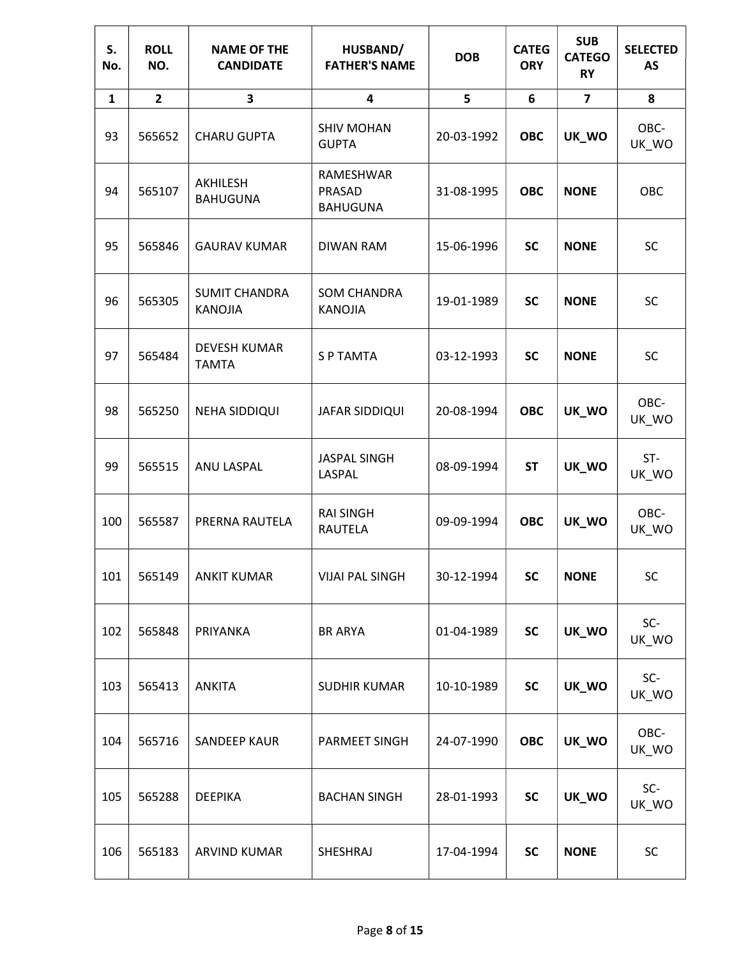| S.<br>No.    | <b>ROLL</b><br>NO. | <b>NAME OF THE</b><br><b>CANDIDATE</b> | HUSBAND/<br><b>FATHER'S NAME</b>       | <b>DOB</b> | <b>CATEG</b><br><b>ORY</b> | <b>SUB</b><br><b>CATEGO</b><br><b>RY</b> | <b>SELECTED</b><br><b>AS</b> |
|--------------|--------------------|----------------------------------------|----------------------------------------|------------|----------------------------|------------------------------------------|------------------------------|
| $\mathbf{1}$ | $\overline{2}$     | 3                                      | 4                                      | 5          | 6                          | $\overline{7}$                           | 8                            |
| 93           | 565652             | <b>CHARU GUPTA</b>                     | <b>SHIV MOHAN</b><br><b>GUPTA</b>      | 20-03-1992 | <b>OBC</b>                 | UK_WO                                    | OBC-<br>UK_WO                |
| 94           | 565107             | AKHILESH<br><b>BAHUGUNA</b>            | RAMESHWAR<br>PRASAD<br><b>BAHUGUNA</b> | 31-08-1995 | <b>OBC</b>                 | <b>NONE</b>                              | OBC                          |
| 95           | 565846             | <b>GAURAV KUMAR</b>                    | <b>DIWAN RAM</b>                       | 15-06-1996 | <b>SC</b>                  | <b>NONE</b>                              | <b>SC</b>                    |
| 96           | 565305             | <b>SUMIT CHANDRA</b><br><b>KANOJIA</b> | <b>SOM CHANDRA</b><br><b>KANOJIA</b>   | 19-01-1989 | <b>SC</b>                  | <b>NONE</b>                              | SC                           |
| 97           | 565484             | <b>DEVESH KUMAR</b><br><b>TAMTA</b>    | <b>SP TAMTA</b>                        | 03-12-1993 | <b>SC</b>                  | <b>NONE</b>                              | <b>SC</b>                    |
| 98           | 565250             | <b>NEHA SIDDIQUI</b>                   | JAFAR SIDDIQUI                         | 20-08-1994 | <b>OBC</b>                 | UK_WO                                    | OBC-<br>UK_WO                |
| 99           | 565515             | ANU LASPAL                             | <b>JASPAL SINGH</b><br>LASPAL          | 08-09-1994 | <b>ST</b>                  | UK_WO                                    | ST-<br>UK_WO                 |
| 100          | 565587             | PRERNA RAUTELA                         | <b>RAI SINGH</b><br><b>RAUTELA</b>     | 09-09-1994 | <b>OBC</b>                 | UK_WO                                    | OBC-<br>UK_WO                |
| 101          | 565149             | <b>ANKIT KUMAR</b>                     | <b>VIJAI PAL SINGH</b>                 | 30-12-1994 | <b>SC</b>                  | <b>NONE</b>                              | SC                           |
| 102          | 565848             | PRIYANKA                               | <b>BR ARYA</b>                         | 01-04-1989 | <b>SC</b>                  | UK_WO                                    | SC-<br>UK_WO                 |
| 103          | 565413             | <b>ANKITA</b>                          | <b>SUDHIR KUMAR</b>                    | 10-10-1989 | <b>SC</b>                  | UK_WO                                    | SC-<br>UK_WO                 |
| 104          | 565716             | <b>SANDEEP KAUR</b>                    | PARMEET SINGH                          | 24-07-1990 | <b>OBC</b>                 | UK_WO                                    | OBC-<br>UK_WO                |
| 105          | 565288             | <b>DEEPIKA</b>                         | <b>BACHAN SINGH</b>                    | 28-01-1993 | <b>SC</b>                  | UK_WO                                    | SC-<br>UK_WO                 |
| 106          | 565183             | ARVIND KUMAR                           | SHESHRAJ                               | 17-04-1994 | <b>SC</b>                  | <b>NONE</b>                              | SC                           |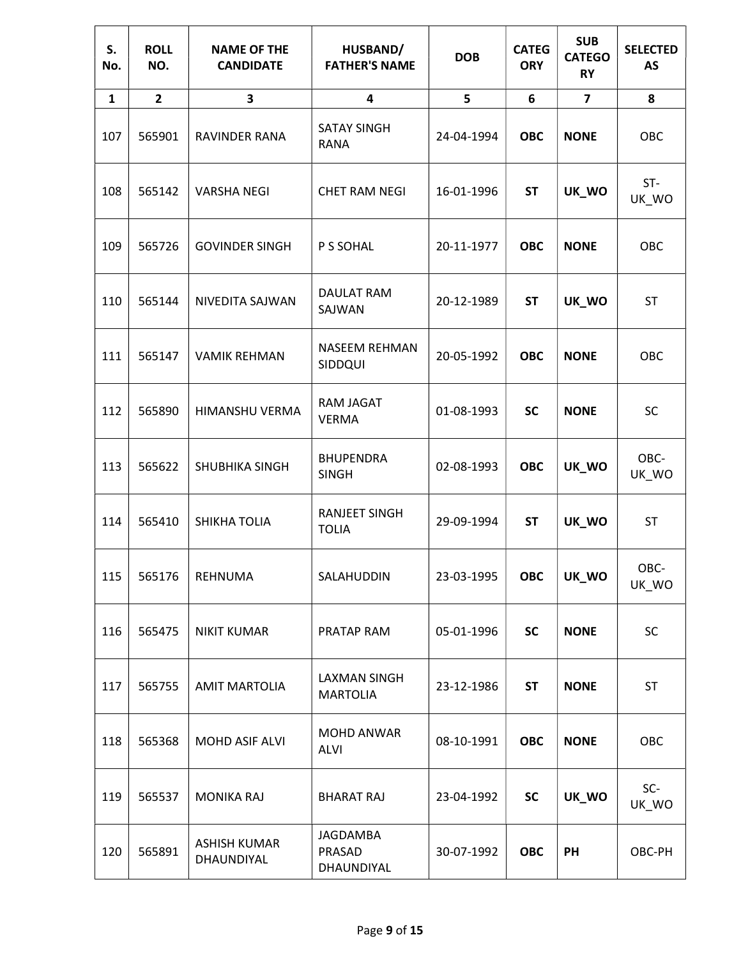| S.<br>No.    | <b>ROLL</b><br>NO. | <b>NAME OF THE</b><br><b>CANDIDATE</b> | HUSBAND/<br><b>FATHER'S NAME</b>       | <b>DOB</b> | <b>CATEG</b><br><b>ORY</b> | <b>SUB</b><br><b>CATEGO</b><br><b>RY</b> | <b>SELECTED</b><br>AS |
|--------------|--------------------|----------------------------------------|----------------------------------------|------------|----------------------------|------------------------------------------|-----------------------|
| $\mathbf{1}$ | $\overline{2}$     | 3                                      | $\overline{\mathbf{4}}$                | 5          | 6                          | $\overline{\mathbf{z}}$                  | 8                     |
| 107          | 565901             | RAVINDER RANA                          | <b>SATAY SINGH</b><br><b>RANA</b>      | 24-04-1994 | <b>OBC</b>                 | <b>NONE</b>                              | OBC                   |
| 108          | 565142             | <b>VARSHA NEGI</b>                     | <b>CHET RAM NEGI</b>                   | 16-01-1996 | <b>ST</b>                  | UK_WO                                    | ST-<br>UK_WO          |
| 109          | 565726             | <b>GOVINDER SINGH</b>                  | P S SOHAL                              | 20-11-1977 | <b>OBC</b>                 | <b>NONE</b>                              | OBC                   |
| 110          | 565144             | NIVEDITA SAJWAN                        | DAULAT RAM<br>SAJWAN                   | 20-12-1989 | <b>ST</b>                  | UK_WO                                    | ST                    |
| 111          | 565147             | <b>VAMIK REHMAN</b>                    | <b>NASEEM REHMAN</b><br>SIDDQUI        | 20-05-1992 | <b>OBC</b>                 | <b>NONE</b>                              | OBC                   |
| 112          | 565890             | HIMANSHU VERMA                         | RAM JAGAT<br><b>VERMA</b>              | 01-08-1993 | <b>SC</b>                  | <b>NONE</b>                              | <b>SC</b>             |
| 113          | 565622             | <b>SHUBHIKA SINGH</b>                  | <b>BHUPENDRA</b><br><b>SINGH</b>       | 02-08-1993 | <b>OBC</b>                 | UK_WO                                    | OBC-<br>UK_WO         |
| 114          | 565410             | SHIKHA TOLIA                           | <b>RANJEET SINGH</b><br><b>TOLIA</b>   | 29-09-1994 | <b>ST</b>                  | UK_WO                                    | ST                    |
| 115          | 565176             | REHNUMA                                | SALAHUDDIN                             | 23-03-1995 | <b>OBC</b>                 | UK_WO                                    | OBC-<br>UK WO         |
| 116          | 565475             | <b>NIKIT KUMAR</b>                     | PRATAP RAM                             | 05-01-1996 | <b>SC</b>                  | <b>NONE</b>                              | <b>SC</b>             |
| 117          | 565755             | <b>AMIT MARTOLIA</b>                   | <b>LAXMAN SINGH</b><br><b>MARTOLIA</b> | 23-12-1986 | <b>ST</b>                  | <b>NONE</b>                              | <b>ST</b>             |
| 118          | 565368             | MOHD ASIF ALVI                         | MOHD ANWAR<br><b>ALVI</b>              | 08-10-1991 | <b>OBC</b>                 | <b>NONE</b>                              | OBC                   |
| 119          | 565537             | <b>MONIKA RAJ</b>                      | <b>BHARAT RAJ</b>                      | 23-04-1992 | <b>SC</b>                  | UK_WO                                    | SC-<br>UK_WO          |
| 120          | 565891             | <b>ASHISH KUMAR</b><br>DHAUNDIYAL      | JAGDAMBA<br>PRASAD<br>DHAUNDIYAL       | 30-07-1992 | <b>OBC</b>                 | PH                                       | OBC-PH                |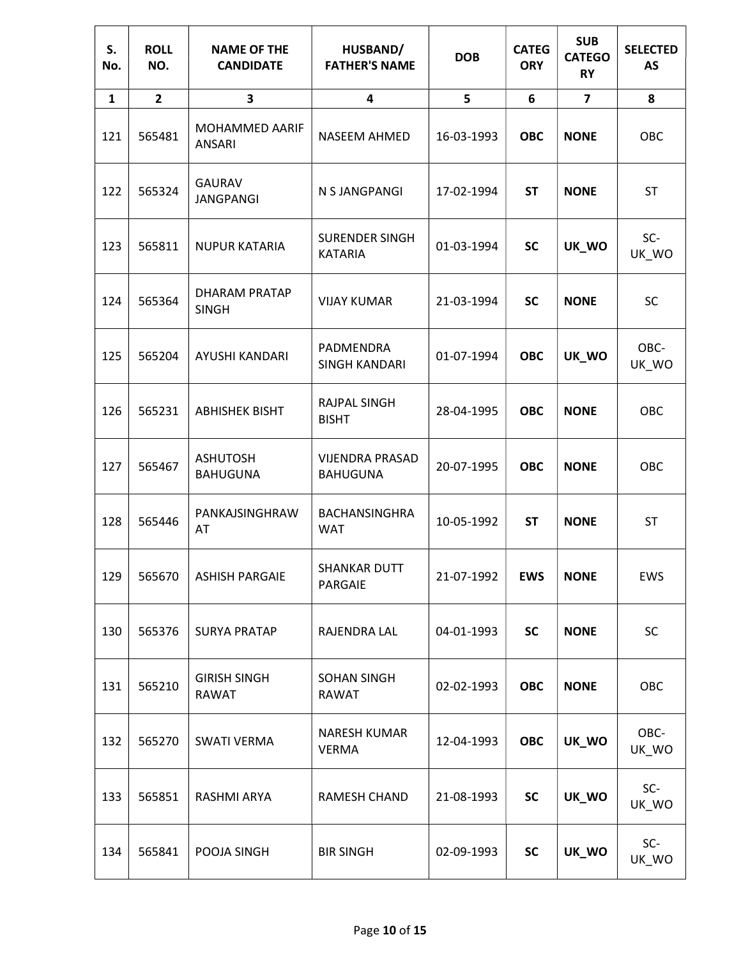| S.<br>No.    | <b>ROLL</b><br>NO. | <b>NAME OF THE</b><br><b>CANDIDATE</b> | HUSBAND/<br><b>FATHER'S NAME</b>          | <b>DOB</b> | <b>CATEG</b><br><b>ORY</b> | <b>SUB</b><br><b>CATEGO</b><br><b>RY</b> | <b>SELECTED</b><br>AS |
|--------------|--------------------|----------------------------------------|-------------------------------------------|------------|----------------------------|------------------------------------------|-----------------------|
| $\mathbf{1}$ | $\overline{2}$     | 3                                      | 4                                         | 5          | 6                          | $\overline{7}$                           | 8                     |
| 121          | 565481             | MOHAMMED AARIF<br>ANSARI               | NASEEM AHMED                              | 16-03-1993 | <b>OBC</b>                 | <b>NONE</b>                              | OBC                   |
| 122          | 565324             | <b>GAURAV</b><br><b>JANGPANGI</b>      | N S JANGPANGI                             | 17-02-1994 | <b>ST</b>                  | <b>NONE</b>                              | ST                    |
| 123          | 565811             | <b>NUPUR KATARIA</b>                   | <b>SURENDER SINGH</b><br><b>KATARIA</b>   | 01-03-1994 | <b>SC</b>                  | UK_WO                                    | SC-<br>UK_WO          |
| 124          | 565364             | <b>DHARAM PRATAP</b><br><b>SINGH</b>   | <b>VIJAY KUMAR</b>                        | 21-03-1994 | <b>SC</b>                  | <b>NONE</b>                              | <b>SC</b>             |
| 125          | 565204             | AYUSHI KANDARI                         | PADMENDRA<br><b>SINGH KANDARI</b>         | 01-07-1994 | <b>OBC</b>                 | UK_WO                                    | OBC-<br>UK_WO         |
| 126          | 565231             | <b>ABHISHEK BISHT</b>                  | RAJPAL SINGH<br><b>BISHT</b>              | 28-04-1995 | <b>OBC</b>                 | <b>NONE</b>                              | OBC                   |
| 127          | 565467             | <b>ASHUTOSH</b><br><b>BAHUGUNA</b>     | <b>VIJENDRA PRASAD</b><br><b>BAHUGUNA</b> | 20-07-1995 | <b>OBC</b>                 | <b>NONE</b>                              | OBC                   |
| 128          | 565446             | PANKAJSINGHRAW<br>AT                   | <b>BACHANSINGHRA</b><br><b>WAT</b>        | 10-05-1992 | <b>ST</b>                  | <b>NONE</b>                              | <b>ST</b>             |
| 129          | 565670             | <b>ASHISH PARGAIE</b>                  | SHANKAR DUTT<br>PARGAIE                   | 21-07-1992 | <b>EWS</b>                 | <b>NONE</b>                              | <b>EWS</b>            |
| 130          | 565376             | <b>SURYA PRATAP</b>                    | RAJENDRA LAL                              | 04-01-1993 | <b>SC</b>                  | <b>NONE</b>                              | <b>SC</b>             |
| 131          | 565210             | <b>GIRISH SINGH</b><br><b>RAWAT</b>    | <b>SOHAN SINGH</b><br><b>RAWAT</b>        | 02-02-1993 | <b>OBC</b>                 | <b>NONE</b>                              | OBC                   |
| 132          | 565270             | <b>SWATI VERMA</b>                     | NARESH KUMAR<br><b>VERMA</b>              | 12-04-1993 | <b>OBC</b>                 | UK_WO                                    | OBC-<br>UK_WO         |
| 133          | 565851             | RASHMI ARYA                            | RAMESH CHAND                              | 21-08-1993 | <b>SC</b>                  | UK_WO                                    | SC-<br>UK_WO          |
| 134          | 565841             | POOJA SINGH                            | <b>BIR SINGH</b>                          | 02-09-1993 | SC                         | UK_WO                                    | SC-<br>UK_WO          |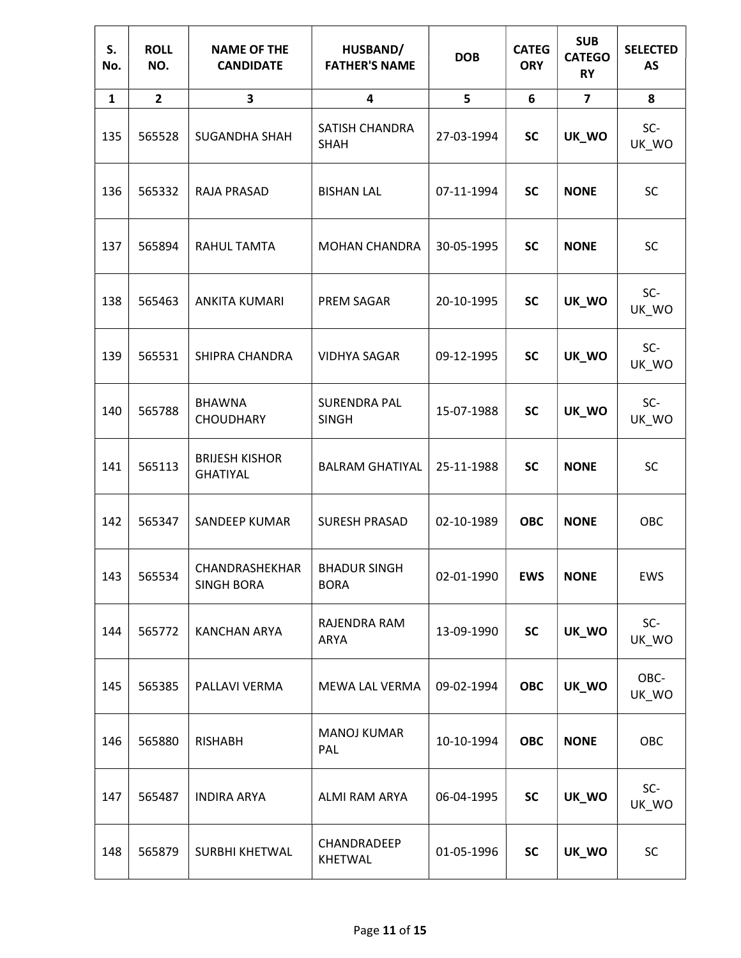| S.<br>No.    | <b>ROLL</b><br>NO. | <b>NAME OF THE</b><br><b>CANDIDATE</b>   | HUSBAND/<br><b>FATHER'S NAME</b>    | <b>DOB</b> | <b>CATEG</b><br><b>ORY</b> | <b>SUB</b><br><b>CATEGO</b><br><b>RY</b> | <b>SELECTED</b><br><b>AS</b> |
|--------------|--------------------|------------------------------------------|-------------------------------------|------------|----------------------------|------------------------------------------|------------------------------|
| $\mathbf{1}$ | $\overline{2}$     | 3                                        | 4                                   | 5          | 6                          | $\overline{\mathbf{z}}$                  | 8                            |
| 135          | 565528             | <b>SUGANDHA SHAH</b>                     | SATISH CHANDRA<br><b>SHAH</b>       | 27-03-1994 | <b>SC</b>                  | UK_WO                                    | SC-<br>UK_WO                 |
| 136          | 565332             | RAJA PRASAD                              | <b>BISHAN LAL</b>                   | 07-11-1994 | <b>SC</b>                  | <b>NONE</b>                              | <b>SC</b>                    |
| 137          | 565894             | RAHUL TAMTA                              | <b>MOHAN CHANDRA</b>                | 30-05-1995 | <b>SC</b>                  | <b>NONE</b>                              | <b>SC</b>                    |
| 138          | 565463             | <b>ANKITA KUMARI</b>                     | PREM SAGAR                          | 20-10-1995 | <b>SC</b>                  | UK_WO                                    | SC-<br>UK_WO                 |
| 139          | 565531             | SHIPRA CHANDRA                           | <b>VIDHYA SAGAR</b>                 | 09-12-1995 | <b>SC</b>                  | UK_WO                                    | SC-<br>UK_WO                 |
| 140          | 565788             | <b>BHAWNA</b><br><b>CHOUDHARY</b>        | <b>SURENDRA PAL</b><br><b>SINGH</b> | 15-07-1988 | <b>SC</b>                  | UK_WO                                    | SC-<br>UK_WO                 |
| 141          | 565113             | <b>BRIJESH KISHOR</b><br><b>GHATIYAL</b> | <b>BALRAM GHATIYAL</b>              | 25-11-1988 | <b>SC</b>                  | <b>NONE</b>                              | <b>SC</b>                    |
| 142          | 565347             | SANDEEP KUMAR                            | <b>SURESH PRASAD</b>                | 02-10-1989 | <b>OBC</b>                 | <b>NONE</b>                              | OBC                          |
| 143          | 565534             | CHANDRASHEKHAR<br><b>SINGH BORA</b>      | <b>BHADUR SINGH</b><br><b>BORA</b>  | 02-01-1990 | <b>EWS</b>                 | <b>NONE</b>                              | EWS                          |
| 144          | 565772             | <b>KANCHAN ARYA</b>                      | RAJENDRA RAM<br>ARYA                | 13-09-1990 | <b>SC</b>                  | UK_WO                                    | SC-<br>UK_WO                 |
| 145          | 565385             | PALLAVI VERMA                            | MEWA LAL VERMA                      | 09-02-1994 | <b>OBC</b>                 | UK_WO                                    | OBC-<br>UK_WO                |
| 146          | 565880             | <b>RISHABH</b>                           | <b>MANOJ KUMAR</b><br>PAL           | 10-10-1994 | <b>OBC</b>                 | <b>NONE</b>                              | OBC                          |
| 147          | 565487             | <b>INDIRA ARYA</b>                       | ALMI RAM ARYA                       | 06-04-1995 | <b>SC</b>                  | UK_WO                                    | SC-<br>UK_WO                 |
| 148          | 565879             | SURBHI KHETWAL                           | CHANDRADEEP<br><b>KHETWAL</b>       | 01-05-1996 | SC                         | UK_WO                                    | SC                           |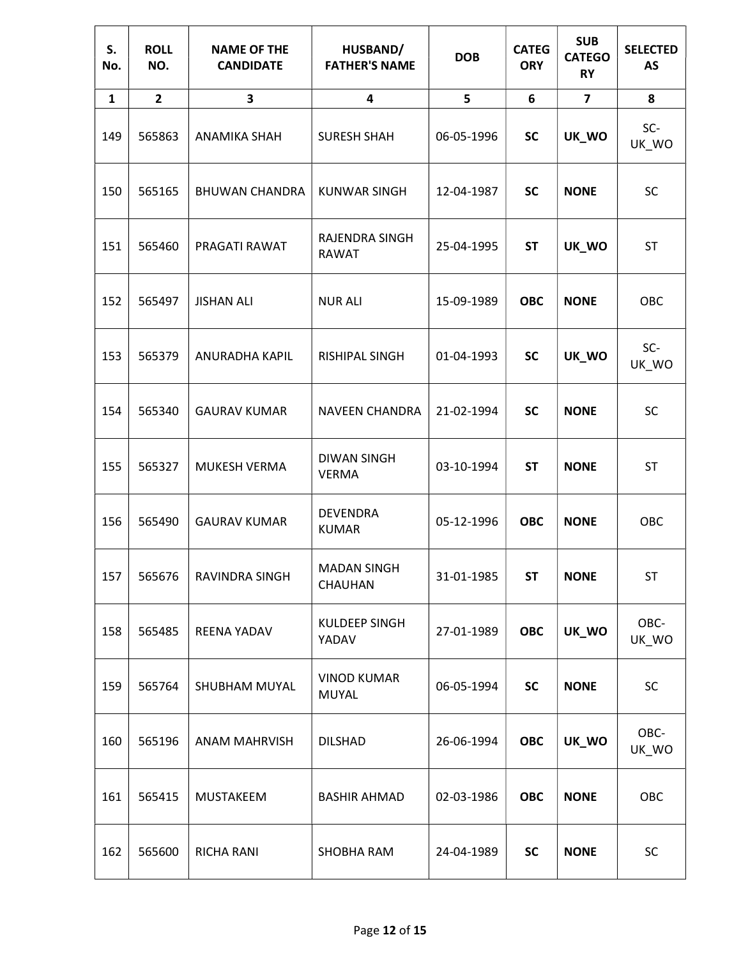| S.<br>No.    | <b>ROLL</b><br>NO. | <b>NAME OF THE</b><br><b>CANDIDATE</b> | HUSBAND/<br><b>FATHER'S NAME</b>   | <b>DOB</b> | <b>CATEG</b><br><b>ORY</b> | <b>SUB</b><br><b>CATEGO</b><br><b>RY</b> | <b>SELECTED</b><br>AS |
|--------------|--------------------|----------------------------------------|------------------------------------|------------|----------------------------|------------------------------------------|-----------------------|
| $\mathbf{1}$ | $\overline{2}$     | 3                                      | 4                                  | 5          | 6                          | $\overline{\mathbf{z}}$                  | 8                     |
| 149          | 565863             | ANAMIKA SHAH                           | <b>SURESH SHAH</b>                 | 06-05-1996 | <b>SC</b>                  | UK_WO                                    | SC-<br>UK_WO          |
| 150          | 565165             | <b>BHUWAN CHANDRA</b>                  | <b>KUNWAR SINGH</b>                | 12-04-1987 | <b>SC</b>                  | <b>NONE</b>                              | <b>SC</b>             |
| 151          | 565460             | PRAGATI RAWAT                          | RAJENDRA SINGH<br><b>RAWAT</b>     | 25-04-1995 | <b>ST</b>                  | UK_WO                                    | <b>ST</b>             |
| 152          | 565497             | <b>JISHAN ALI</b>                      | <b>NUR ALI</b>                     | 15-09-1989 | <b>OBC</b>                 | <b>NONE</b>                              | OBC                   |
| 153          | 565379             | ANURADHA KAPIL                         | RISHIPAL SINGH                     | 01-04-1993 | <b>SC</b>                  | UK_WO                                    | SC-<br>UK_WO          |
| 154          | 565340             | <b>GAURAV KUMAR</b>                    | <b>NAVEEN CHANDRA</b>              | 21-02-1994 | <b>SC</b>                  | <b>NONE</b>                              | <b>SC</b>             |
| 155          | 565327             | MUKESH VERMA                           | <b>DIWAN SINGH</b><br><b>VERMA</b> | 03-10-1994 | <b>ST</b>                  | <b>NONE</b>                              | ST                    |
| 156          | 565490             | <b>GAURAV KUMAR</b>                    | <b>DEVENDRA</b><br><b>KUMAR</b>    | 05-12-1996 | <b>OBC</b>                 | <b>NONE</b>                              | OBC                   |
| 157          | 565676             | RAVINDRA SINGH                         | <b>MADAN SINGH</b><br>CHAUHAN      | 31-01-1985 | <b>ST</b>                  | <b>NONE</b>                              | <b>ST</b>             |
| 158          | 565485             | <b>REENA YADAV</b>                     | KULDEEP SINGH<br>YADAV             | 27-01-1989 | <b>OBC</b>                 | UK_WO                                    | OBC-<br>UK_WO         |
| 159          | 565764             | SHUBHAM MUYAL                          | <b>VINOD KUMAR</b><br>MUYAL        | 06-05-1994 | <b>SC</b>                  | <b>NONE</b>                              | <b>SC</b>             |
| 160          | 565196             | <b>ANAM MAHRVISH</b>                   | <b>DILSHAD</b>                     | 26-06-1994 | <b>OBC</b>                 | UK_WO                                    | OBC-<br>UK_WO         |
| 161          | 565415             | MUSTAKEEM                              | <b>BASHIR AHMAD</b>                | 02-03-1986 | <b>OBC</b>                 | <b>NONE</b>                              | OBC                   |
| 162          | 565600             | RICHA RANI                             | SHOBHA RAM                         | 24-04-1989 | <b>SC</b>                  | <b>NONE</b>                              | SC                    |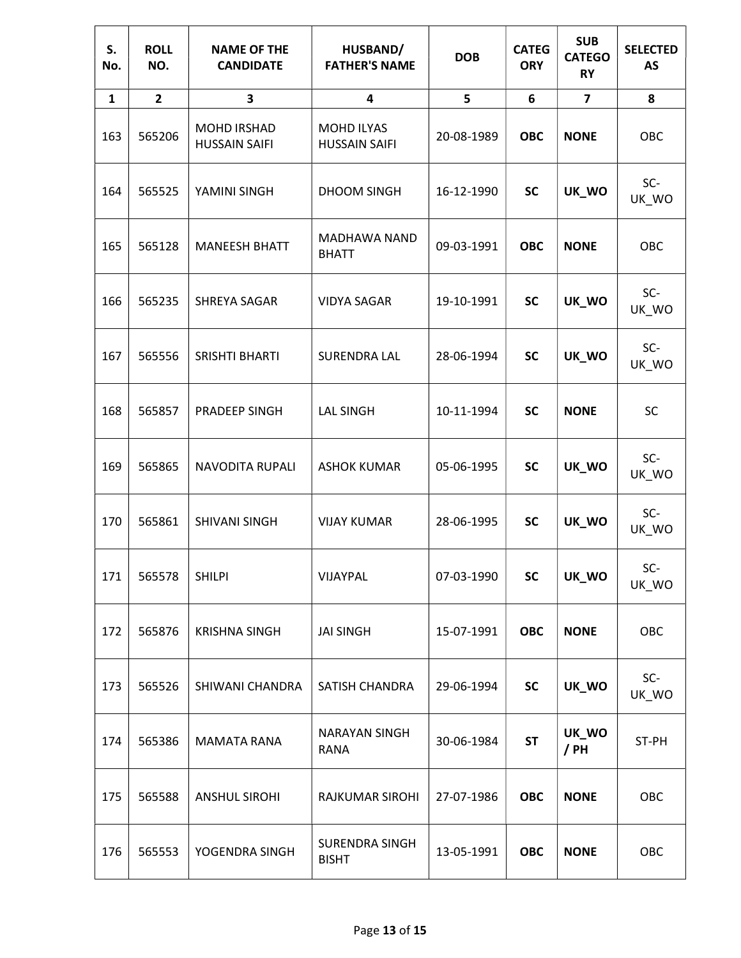| S.<br>No.    | <b>ROLL</b><br>NO. | <b>NAME OF THE</b><br><b>CANDIDATE</b> | HUSBAND/<br><b>FATHER'S NAME</b>          | <b>DOB</b> | <b>CATEG</b><br><b>ORY</b> | <b>SUB</b><br><b>CATEGO</b><br><b>RY</b> | <b>SELECTED</b><br><b>AS</b> |
|--------------|--------------------|----------------------------------------|-------------------------------------------|------------|----------------------------|------------------------------------------|------------------------------|
| $\mathbf{1}$ | $\overline{2}$     | 3                                      | 4                                         | 5          | 6                          | $\overline{\mathbf{z}}$                  | 8                            |
| 163          | 565206             | MOHD IRSHAD<br><b>HUSSAIN SAIFI</b>    | <b>MOHD ILYAS</b><br><b>HUSSAIN SAIFI</b> | 20-08-1989 | <b>OBC</b>                 | <b>NONE</b>                              | OBC                          |
| 164          | 565525             | YAMINI SINGH                           | DHOOM SINGH                               | 16-12-1990 | <b>SC</b>                  | UK_WO                                    | SC-<br>UK_WO                 |
| 165          | 565128             | <b>MANEESH BHATT</b>                   | MADHAWA NAND<br><b>BHATT</b>              | 09-03-1991 | <b>OBC</b>                 | <b>NONE</b>                              | OBC                          |
| 166          | 565235             | SHREYA SAGAR                           | <b>VIDYA SAGAR</b>                        | 19-10-1991 | <b>SC</b>                  | UK_WO                                    | SC-<br>UK_WO                 |
| 167          | 565556             | SRISHTI BHARTI                         | <b>SURENDRA LAL</b>                       | 28-06-1994 | <b>SC</b>                  | UK_WO                                    | SC-<br>UK_WO                 |
| 168          | 565857             | PRADEEP SINGH                          | <b>LAL SINGH</b>                          | 10-11-1994 | <b>SC</b>                  | <b>NONE</b>                              | SC                           |
| 169          | 565865             | NAVODITA RUPALI                        | <b>ASHOK KUMAR</b>                        | 05-06-1995 | <b>SC</b>                  | UK_WO                                    | SC-<br>UK_WO                 |
| 170          | 565861             | <b>SHIVANI SINGH</b>                   | <b>VIJAY KUMAR</b>                        | 28-06-1995 | <b>SC</b>                  | UK_WO                                    | SC-<br>UK_WO                 |
| 171          | 565578             | <b>SHILPI</b>                          | VIJAYPAL                                  | 07-03-1990 | <b>SC</b>                  | UK_WO                                    | SC-<br>UK_WO                 |
| 172          | 565876             | <b>KRISHNA SINGH</b>                   | <b>JAI SINGH</b>                          | 15-07-1991 | <b>OBC</b>                 | <b>NONE</b>                              | OBC                          |
| 173          | 565526             | SHIWANI CHANDRA                        | SATISH CHANDRA                            | 29-06-1994 | <b>SC</b>                  | UK_WO                                    | SC-<br>UK_WO                 |
| 174          | 565386             | <b>MAMATA RANA</b>                     | <b>NARAYAN SINGH</b><br><b>RANA</b>       | 30-06-1984 | <b>ST</b>                  | UK_WO<br>/ PH                            | ST-PH                        |
| 175          | 565588             | <b>ANSHUL SIROHI</b>                   | RAJKUMAR SIROHI                           | 27-07-1986 | <b>OBC</b>                 | <b>NONE</b>                              | OBC                          |
| 176          | 565553             | YOGENDRA SINGH                         | SURENDRA SINGH<br><b>BISHT</b>            | 13-05-1991 | <b>OBC</b>                 | <b>NONE</b>                              | OBC                          |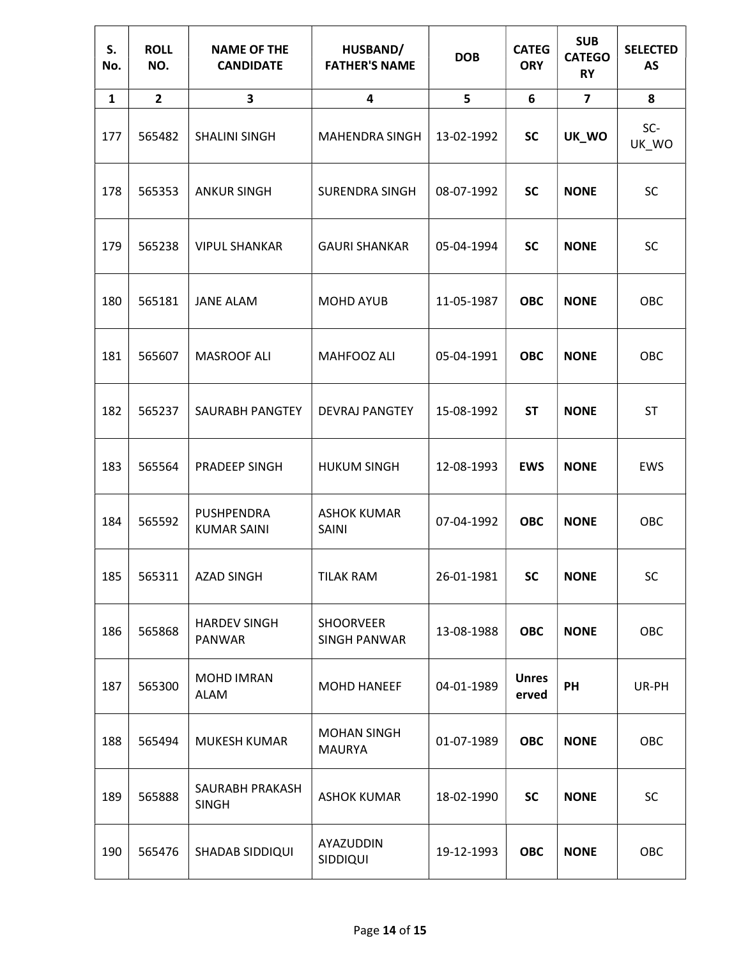| S.<br>No.    | <b>ROLL</b><br>NO. | <b>NAME OF THE</b><br><b>CANDIDATE</b> | HUSBAND/<br><b>FATHER'S NAME</b>        | <b>DOB</b> | <b>CATEG</b><br><b>ORY</b> | <b>SUB</b><br><b>CATEGO</b><br><b>RY</b> | <b>SELECTED</b><br><b>AS</b> |
|--------------|--------------------|----------------------------------------|-----------------------------------------|------------|----------------------------|------------------------------------------|------------------------------|
| $\mathbf{1}$ | $\overline{2}$     | 3                                      | 4                                       | 5          | 6                          | $\overline{7}$                           | 8                            |
| 177          | 565482             | <b>SHALINI SINGH</b>                   | <b>MAHENDRA SINGH</b>                   | 13-02-1992 | <b>SC</b>                  | UK_WO                                    | SC-<br>UK_WO                 |
| 178          | 565353             | <b>ANKUR SINGH</b>                     | <b>SURENDRA SINGH</b>                   | 08-07-1992 | <b>SC</b>                  | <b>NONE</b>                              | <b>SC</b>                    |
| 179          | 565238             | <b>VIPUL SHANKAR</b>                   | <b>GAURI SHANKAR</b>                    | 05-04-1994 | <b>SC</b>                  | <b>NONE</b>                              | <b>SC</b>                    |
| 180          | 565181             | <b>JANE ALAM</b>                       | <b>MOHD AYUB</b>                        | 11-05-1987 | <b>OBC</b>                 | <b>NONE</b>                              | OBC                          |
| 181          | 565607             | <b>MASROOF ALI</b>                     | MAHFOOZ ALI                             | 05-04-1991 | <b>OBC</b>                 | <b>NONE</b>                              | OBC                          |
| 182          | 565237             | SAURABH PANGTEY                        | <b>DEVRAJ PANGTEY</b>                   | 15-08-1992 | <b>ST</b>                  | <b>NONE</b>                              | ST                           |
| 183          | 565564             | PRADEEP SINGH                          | <b>HUKUM SINGH</b>                      | 12-08-1993 | <b>EWS</b>                 | <b>NONE</b>                              | <b>EWS</b>                   |
| 184          | 565592             | PUSHPENDRA<br><b>KUMAR SAINI</b>       | <b>ASHOK KUMAR</b><br>SAINI             | 07-04-1992 | <b>OBC</b>                 | <b>NONE</b>                              | OBC                          |
| 185          | 565311             | <b>AZAD SINGH</b>                      | <b>TILAK RAM</b>                        | 26-01-1981 | <b>SC</b>                  | <b>NONE</b>                              | <b>SC</b>                    |
| 186          | 565868             | <b>HARDEV SINGH</b><br>PANWAR          | <b>SHOORVEER</b><br><b>SINGH PANWAR</b> | 13-08-1988 | <b>OBC</b>                 | <b>NONE</b>                              | OBC                          |
| 187          | 565300             | <b>MOHD IMRAN</b><br>ALAM              | <b>MOHD HANEEF</b>                      | 04-01-1989 | <b>Unres</b><br>erved      | PH                                       | UR-PH                        |
| 188          | 565494             | MUKESH KUMAR                           | <b>MOHAN SINGH</b><br><b>MAURYA</b>     | 01-07-1989 | <b>OBC</b>                 | <b>NONE</b>                              | OBC                          |
| 189          | 565888             | SAURABH PRAKASH<br><b>SINGH</b>        | <b>ASHOK KUMAR</b>                      | 18-02-1990 | <b>SC</b>                  | <b>NONE</b>                              | <b>SC</b>                    |
| 190          | 565476             | <b>SHADAB SIDDIQUI</b>                 | AYAZUDDIN<br>SIDDIQUI                   | 19-12-1993 | <b>OBC</b>                 | <b>NONE</b>                              | OBC                          |